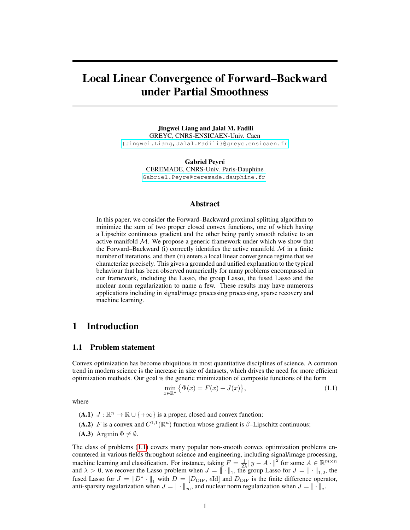# Local Linear Convergence of Forward–Backward under Partial Smoothness

Jingwei Liang and Jalal M. Fadili GREYC, CNRS-ENSICAEN-Univ. Caen <{Jingwei.Liang,Jalal.Fadili}@greyc.ensicaen.fr>

> Gabriel Peyré CEREMADE, CNRS-Univ. Paris-Dauphine <Gabriel.Peyre@ceremade.dauphine.fr>

### Abstract

In this paper, we consider the Forward–Backward proximal splitting algorithm to minimize the sum of two proper closed convex functions, one of which having a Lipschitz continuous gradient and the other being partly smooth relative to an active manifold  $M$ . We propose a generic framework under which we show that the Forward–Backward (i) correctly identifies the active manifold  $M$  in a finite number of iterations, and then (ii) enters a local linear convergence regime that we characterize precisely. This gives a grounded and unified explanation to the typical behaviour that has been observed numerically for many problems encompassed in our framework, including the Lasso, the group Lasso, the fused Lasso and the nuclear norm regularization to name a few. These results may have numerous applications including in signal/image processing processing, sparse recovery and machine learning.

## 1 Introduction

#### 1.1 Problem statement

Convex optimization has become ubiquitous in most quantitative disciplines of science. A common trend in modern science is the increase in size of datasets, which drives the need for more efficient optimization methods. Our goal is the generic minimization of composite functions of the form

$$
\min_{x \in \mathbb{R}^n} \left\{ \Phi(x) = F(x) + J(x) \right\},\tag{1.1}
$$

where

- (A.1)  $J : \mathbb{R}^n \to \mathbb{R} \cup \{+\infty\}$  is a proper, closed and convex function;
- (A.2) F is a convex and  $C^{1,1}(\mathbb{R}^n)$  function whose gradient is  $\beta$ -Lipschitz continuous;
- (**A.3**) Argmin  $\Phi \neq \emptyset$ .

The class of problems (1.1) covers many popular non-smooth convex optimization problems encountered in various fields throughout science and engineering, including signal/image processing, machine learning and classification. For instance, taking  $F = \frac{1}{2\lambda} ||y - A||^2$  for some  $A \in \mathbb{R}^{m \times n}$ and  $\lambda > 0$ , we recover the Lasso problem when  $J = || \cdot ||_1$ , the group Lasso for  $J = || \cdot ||_{1,2}$ , the fused Lasso for  $J = ||D^* \cdot ||_1$  with  $D = [D_{\text{DIF}}, \epsilon \text{Id}]$  and  $D_{\text{DIF}}$  is the finite difference operator, anti-sparsity regularization when  $J = \|\cdot\|_{\infty}$ , and nuclear norm regularization when  $J = \|\cdot\|_*$ .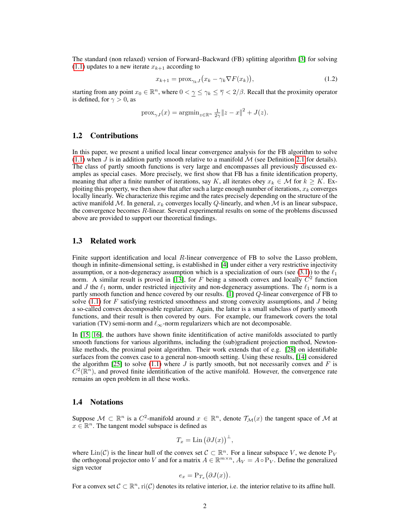The standard (non relaxed) version of Forward–Backward (FB) splitting algorithm [3] for solving  $(1.1)$  updates to a new iterate  $x_{k+1}$  according to

$$
x_{k+1} = \text{prox}_{\gamma_k J} \big( x_k - \gamma_k \nabla F(x_k) \big),\tag{1.2}
$$

starting from any point  $x_0 \in \mathbb{R}^n$ , where  $0 < \gamma \leq \gamma_k \leq \overline{\gamma} < 2/\beta$ . Recall that the proximity operator is defined, for  $\gamma > 0$ , as

$$
\operatorname{prox}_{\gamma J}(x) = \operatorname{argmin}_{z \in \mathbb{R}^n} \frac{1}{2\gamma} \|z - x\|^2 + J(z).
$$

#### 1.2 Contributions

In this paper, we present a unified local linear convergence analysis for the FB algorithm to solve  $(1.1)$  when J is in addition partly smooth relative to a manifold M (see Definition 2.1 for details). The class of partly smooth functions is very large and encompasses all previously discussed examples as special cases. More precisely, we first show that FB has a finite identification property, meaning that after a finite number of iterations, say K, all iterates obey  $x_k \in \mathcal{M}$  for  $k \geq K$ . Exploiting this property, we then show that after such a large enough number of iterations,  $x_k$  converges locally linearly. We characterize this regime and the rates precisely depending on the structure of the active manifold  $M$ . In general,  $x_k$  converges locally Q-linearly, and when M is an linear subspace, the convergence becomes  $R$ -linear. Several experimental results on some of the problems discussed above are provided to support our theoretical findings.

#### 1.3 Related work

Finite support identification and local  $R$ -linear convergence of FB to solve the Lasso problem, though in infinite-dimensional setting, is established in [4] under either a very restrictive injectivity assumption, or a non-degeneracy assumption which is a specialization of ours (see (3.1)) to the  $\ell_1$ norm. A similar result is proved in [13], for F being a smooth convex and locally  $C<sup>2</sup>$  function and J the  $\ell_1$  norm, under restricted injectivity and non-degeneracy assumptions. The  $\ell_1$  norm is a partly smooth function and hence covered by our results. [1] proved Q-linear convergence of FB to solve  $(1.1)$  for F satisfying restricted smoothness and strong convexity assumptions, and J being a so-called convex decomposable regularizer. Again, the latter is a small subclass of partly smooth functions, and their result is then covered by ours. For example, our framework covers the total variation (TV) semi-norm and  $\ell_{\infty}$ -norm regularizers which are not decomposable.

In [15, 16], the authors have shown finite identitification of active manifolds associated to partly smooth functions for various algorithms, including the (sub)gradient projection method, Newtonlike methods, the proximal point algorithm. Their work extends that of e.g. [28] on identifiable surfaces from the convex case to a general non-smooth setting. Using these results, [14] considered the algorithm [25] to solve (1.1) where  $J$  is partly smooth, but not necessarily convex and  $F$  is  $C^2(\mathbb{R}^n)$ , and proved finite identitification of the active manifold. However, the convergence rate remains an open problem in all these works.

#### 1.4 Notations

Suppose  $\mathcal{M} \subset \mathbb{R}^n$  is a  $C^2$ -manifold around  $x \in \mathbb{R}^n$ , denote  $\mathcal{T}_\mathcal{M}(x)$  the tangent space of  $\mathcal M$  at  $x \in \mathbb{R}^n$ . The tangent model subspace is defined as

$$
T_x = \mathrm{Lin}\left(\partial J(x)\right)^{\perp},
$$

where  $\text{Lin}(\mathcal{C})$  is the linear hull of the convex set  $\mathcal{C} \subset \mathbb{R}^n$ . For a linear subspace V, we denote P<sub>V</sub> the orthogonal projector onto V and for a matrix  $A \in \mathbb{R}^{m \times n}$ ,  $A_V = A \circ P_V$ . Define the generalized sign vector

$$
e_x = \mathbf{P}_{T_x}(\partial J(x)).
$$

For a convex set  $\mathcal{C} \subset \mathbb{R}^n$ ,  $\text{ri}(\mathcal{C})$  denotes its relative interior, i.e. the interior relative to its affine hull.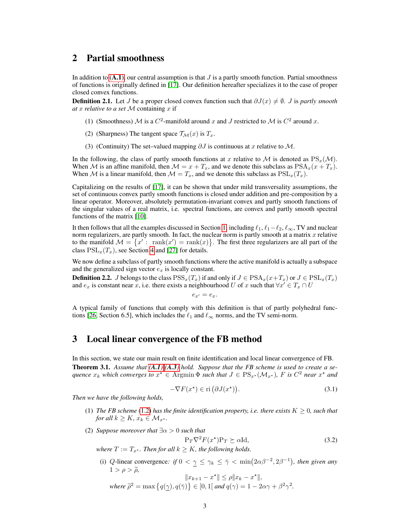## 2 Partial smoothness

In addition to  $(A,1)$ , our central assumption is that J is a partly smooth function. Partial smoothness of functions is originally defined in [17]. Our definition hereafter specializes it to the case of proper closed convex functions.

**Definition 2.1.** Let J be a proper closed convex function such that  $\partial J(x) \neq \emptyset$ . J is *partly smooth at* x *relative to a set* M containing x if

- (1) (Smoothness) M is a  $C^2$ -manifold around x and J restricted to M is  $C^2$  around x.
- (2) (Sharpness) The tangent space  $\mathcal{T}_{\mathcal{M}}(x)$  is  $T_x$ .
- (3) (Continuity) The set–valued mapping  $\partial J$  is continuous at x relative to M.

In the following, the class of partly smooth functions at x relative to M is denoted as  $PS_x(\mathcal{M})$ . When M is an affine manifold, then  $M = x + T_x$ , and we denote this subclass as  $PSA_x(x + T_x)$ . When M is a linear manifold, then  $M = T_x$ , and we denote this subclass as  $PSL_x(T_x)$ .

Capitalizing on the results of [17], it can be shown that under mild transversality assumptions, the set of continuous convex partly smooth functions is closed under addition and pre-composition by a linear operator. Moreover, absolutely permutation-invariant convex and partly smooth functions of the singular values of a real matrix, i.e. spectral functions, are convex and partly smooth spectral functions of the matrix [10].

It then follows that all the examples discussed in Section 1, including  $\ell_1$ ,  $\ell_1-\ell_2$ ,  $\ell_\infty$ , TV and nuclear norm regularizers, are partly smooth. In fact, the nuclear norm is partly smooth at a matrix  $x$  relative to the manifold  $\mathcal{M} = \{x' : \text{rank}(x') = \text{rank}(x)\}\.$  The first three regularizers are all part of the class  $PSL_x(T_x)$ , see Section 4 and [27] for details.

We now define a subclass of partly smooth functions where the active manifold is actually a subspace and the generalized sign vector  $e_x$  is locally constant.

**Definition 2.2.** J belongs to the class  $\text{PSS}_x(T_x)$  if and only if  $J \in \text{PSA}_x(x+T_x)$  or  $J \in \text{PSL}_x(T_x)$ and  $e_x$  is constant near x, i.e. there exists a neighbourhood U of x such that  $\forall x' \in T_x \cap U$ 

 $e_{x'} = e_x.$ 

A typical family of functions that comply with this definition is that of partly polyhedral functions [26, Section 6.5], which includes the  $\ell_1$  and  $\ell_{\infty}$  norms, and the TV semi-norm.

### 3 Local linear convergence of the FB method

In this section, we state our main result on finite identification and local linear convergence of FB. Theorem 3.1. *Assume that (A.1)-(A.3) hold. Suppose that the FB scheme is used to create a sequence*  $x_k$  *which converges to*  $x^* \in \text{Argmin} \Phi$  *such that*  $J \in \text{PS}_{x^*}(\mathcal{M}_{x^*})$ , F is  $C^2$  *near*  $x^*$  *and* 

$$
-\nabla F(x^*) \in \text{ri}\left(\partial J(x^*)\right). \tag{3.1}
$$

*Then we have the following holds,*

- (1) *The FB scheme* (1.2) *has the finite identification property, i.e. there exists*  $K \geq 0$ *, such that for all*  $k \geq K$ ,  $x_k \in M_{x^*}$ .
- (2) *Suppose moreover that*  $\exists \alpha > 0$  *such that*

$$
P_T \nabla^2 F(x^*) P_T \succeq \alpha I d,
$$
  
where  $T := T_{x^*}$ . Then for all  $k \ge K$ , the following holds. (3.2)

(i) Q-linear convergence: if  $0 < \gamma \leq \gamma_k \leq \overline{\gamma} < \min(2\alpha\beta^{-2}, 2\beta^{-1})$ , then given any

 $1 > \rho > \tilde{\rho},$ <br> $||x_{k+1} - x^*|| \le \rho ||x_k - x^*||,$ *where*  $\widetilde{\rho}^2 = \max \{ q(\gamma), q(\bar{\gamma}) \} \in [0, 1]$  *and*  $q(\gamma) = 1 - 2\alpha\gamma + \beta^2\gamma^2$ .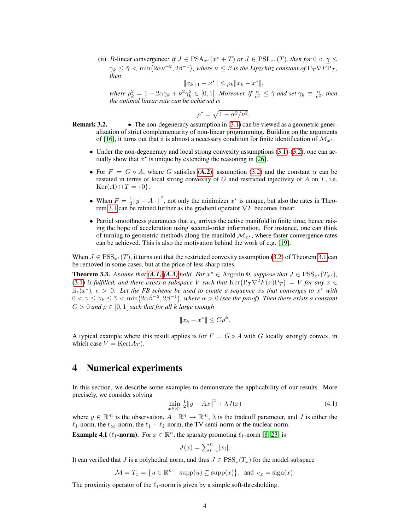(ii) R-linear convergence: if  $J \in \text{PSA}_{x*}(x^* + T)$  or  $J \in \text{PSL}_{x*}(T)$ *, then for*  $0 < \gamma \leq T$  $\gamma_k \leq \bar{\gamma} < \min(2\alpha\nu^{-2}, 2\beta^{-1}),$  where  $\nu \leq \beta$  is the Lipzchitz constant of  $\mathrm{P}_T \nabla F \mathrm{P}_T$ , *then*

$$
||x_{k+1} - x^*|| \le \rho_k ||x_k - x^*||,
$$

where  $\rho_k^2 = 1 - 2\alpha\gamma_k + \nu^2\gamma_k^2 \in [0,1]$ . Moreover, if  $\frac{\alpha}{\nu^2} \leq \overline{\gamma}$  and set  $\gamma_k \equiv \frac{\alpha}{\nu^2}$ , then *the optimal linear rate can be achieved is*

$$
\rho^* = \sqrt{1 - \alpha^2/\nu^2}.
$$

- **Remark 3.2.** The non-degeneracy assumption in  $(3.1)$  can be viewed as a geometric generalization of strict complementarity of non-linear programming. Building on the arguments of [16], it turns out that it is almost a necessary condition for finite identification of  $\mathcal{M}_{x^*}$ .
	- Under the non-degeneracy and local strong convexity assumptions  $(3.1)-(3.2)$ , one can actually show that  $x^*$  is unique by extending the reasoning in [26].
	- For  $F = G \circ A$ , where G satisfies (A.2), assumption (3.2) and the constant  $\alpha$  can be restated in terms of local strong convexity of  $G$  and restricted injectivity of  $A$  on  $T$ , i.e.  $\text{Ker}(A) \cap T = \{0\}.$
	- When  $F = \frac{1}{2} ||y A \cdot||^2$ , not only the minimizer  $x^*$  is unique, but also the rates in Theorem 3.1 can be refined further as the gradient operator  $\nabla F$  becomes linear.
	- Partial smoothness guarantees that  $x_k$  arrives the active manifold in finite time, hence raising the hope of acceleration using second-order information. For instance, one can think of turning to geometric methods along the manifold  $\mathcal{M}_{x^*}$ , where faster convergence rates can be achieved. This is also the motivation behind the work of e.g. [19].

When  $J \in \text{PSS}_{x^*}(T)$ , it turns out that the restricted convexity assumption (3.2) of Theorem 3.1 can be removed in some cases, but at the price of less sharp rates.

**Theorem 3.3.** Assume that  $(A,I)$ - $(A.3)$  hold. For  $x^* \in \text{Argmin} \Phi$ , suppose that  $J \in \text{PSS}_{x^*}(T_{x^*})$ , (3.1) *is fulfilled, and there exists a subspace* V *such that*  $\text{Ker}(\overline{P_T \nabla^2 F(x) P_T}) = V$  for any  $x \in$  $\mathbb{B}_{\epsilon}(x^{\star})$ ,  $\epsilon > 0$ . Let the FB scheme be used to create a sequence  $x_k$  that converges to  $x^{\star}$  with  $0<\gamma\leq\gamma_k\leq\bar\gamma<\min(2\alpha\beta^{-2},2\beta^{-1}),$  where  $\alpha>0$  (see the proof). Then there exists a constant  $C > 0$  *and*  $\rho \in [0, 1]$  *such that for all k large enough* 

$$
||x_k - x^*|| \le C\rho^k.
$$

A typical example where this result applies is for  $F = G \circ A$  with G locally strongly convex, in which case  $V = \text{Ker}(A_T)$ .

### 4 Numerical experiments

In this section, we describe some examples to demonstrate the applicability of our results. More precisely, we consider solving

$$
\min_{x \in \mathbb{R}^n} \frac{1}{2} \|y - Ax\|^2 + \lambda J(x) \tag{4.1}
$$

where  $y \in \mathbb{R}^m$  is the observation,  $A: \mathbb{R}^n \to \mathbb{R}^m$ ,  $\lambda$  is the tradeoff parameter, and J is either the  $\ell_1$ -norm, the  $\ell_{\infty}$ -norm, the  $\ell_1 - \ell_2$ -norm, the TV semi-norm or the nuclear norm.

**Example 4.1** ( $\ell_1$ -norm). For  $x \in \mathbb{R}^n$ , the sparsity promoting  $\ell_1$ -norm [8, 23] is

$$
J(x) = \sum_{i=1}^{n} |x_i|.
$$

It can verified that J is a polyhedral norm, and thus  $J \in \text{PSS}_x(T_x)$  for the model subspace

$$
\mathcal{M} = T_x = \left\{ u \in \mathbb{R}^n : \text{ supp}(u) \subseteq \text{supp}(x) \right\}, \text{ and } e_x = \text{sign}(x).
$$

The proximity operator of the  $\ell_1$ -norm is given by a simple soft-thresholding.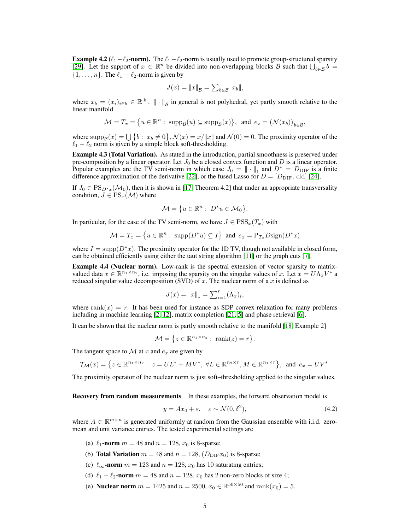**Example 4.2** ( $\ell_1-\ell_2$ -norm). The  $\ell_1-\ell_2$ -norm is usually used to promote group-structured sparsity [29]. Let the support of  $x \in \mathbb{R}^n$  be divided into non-overlapping blocks B such that  $\bigcup_{b \in \mathcal{B}} b =$  $\{1, \ldots, n\}$ . The  $\ell_1 - \ell_2$ -norm is given by

$$
J(x) = \|x\|_{\mathcal{B}} = \sum_{b \in \mathcal{B}} \|x_b\|,
$$

where  $x_b = (x_i)_{i \in b} \in \mathbb{R}^{|b|}$ .  $\|\cdot\|_{\mathcal{B}}$  in general is not polyhedral, yet partly smooth relative to the linear manifold

$$
\mathcal{M}=T_x=\big\{u\in\mathbb{R}^n:\ \operatorname{supp}_{\mathcal{B}}(u)\subseteq\operatorname{supp}_{\mathcal{B}}(x)\big\},\ \text{ and }\ e_x=\big(\mathcal{N}(x_b)\big)_{b\in\mathcal{B}},
$$

where  $\text{supp}_\mathcal{B}(x) = \bigcup \{b : x_b \neq 0\}, \mathcal{N}(x) = x/||x||$  and  $\mathcal{N}(0) = 0$ . The proximity operator of the  $\ell_1 - \ell_2$  norm is given by a simple block soft-thresholding.

Example 4.3 (Total Variation). As stated in the introduction, partial smoothness is preserved under pre-composition by a linear operator. Let  $J_0$  be a closed convex function and D is a linear operator. Popular examples are the TV semi-norm in which case  $J_0 = || \cdot ||_1$  and  $D^* = D_{\text{DIF}}$  is a finite difference approximation of the derivative [22], or the fused Lasso for  $D = [D_{\text{DIF}}, \epsilon \text{Id}]$  [24].

If  $J_0 \in \text{PS}_{D^*x}(\mathcal{M}_0)$ , then it is shown in [17, Theorem 4.2] that under an appropriate transversality condition,  $J \in \text{PS}_{x}(\mathcal{M})$  where

$$
\mathcal{M} = \{ u \in \mathbb{R}^n : \ D^*u \in \mathcal{M}_0 \}.
$$

In particular, for the case of the TV semi-norm, we have  $J \in \text{PSS}_x(T_x)$  with

$$
\mathcal{M} = T_x = \left\{ u \in \mathbb{R}^n : \ \text{supp}(D^*u) \subseteq I \right\} \text{ and } e_x = \mathcal{P}_{T_x} \text{Disign}(D^*x)
$$

where  $I = \text{supp}(D^*x)$ . The proximity operator for the 1D TV, though not available in closed form, can be obtained efficiently using either the taut string algorithm [11] or the graph cuts [7].

Example 4.4 (Nuclear norm). Low-rank is the spectral extension of vector sparsity to matrixvalued data  $x \in \mathbb{R}^{n_1 \times n_2}$ , i.e. imposing the sparsity on the singular values of x. Let  $x = U \Lambda_x V^*$  a reduced singular value decomposition (SVD) of x. The nuclear norm of a x is defined as

$$
J(x) = \|x\|_{*} = \sum_{i=1}^{r} (\Lambda_{x})_{i},
$$

where rank $(x) = r$ . It has been used for instance as SDP convex relaxation for many problems including in machine learning [2, 12], matrix completion [21, 5] and phase retrieval [6].

It can be shown that the nuclear norm is partly smooth relative to the manifold [18, Example 2]

$$
\mathcal{M} = \{ z \in \mathbb{R}^{n_1 \times n_2} : \text{ rank}(z) = r \}.
$$

The tangent space to  $\mathcal M$  at  $x$  and  $e_x$  are given by

$$
\mathcal{T}_{\mathcal{M}}(x) = \left\{ z \in \mathbb{R}^{n_1 \times n_2} : \ z = UL^* + MV^*, \ \forall L \in \mathbb{R}^{n_2 \times r}, M \in \mathbb{R}^{n_1 \times r} \right\}, \text{ and } e_x = UV^*.
$$

The proximity operator of the nuclear norm is just soft–thresholding applied to the singular values.

Recovery from random measurements In these examples, the forward observation model is

$$
y = Ax_0 + \varepsilon, \quad \varepsilon \sim \mathcal{N}(0, \delta^2), \tag{4.2}
$$

where  $A \in \mathbb{R}^{m \times n}$  is generated uniformly at random from the Gaussian ensemble with i.i.d. zeromean and unit variance entries. The tested experimental settings are

- (a)  $\ell_1$ -norm  $m = 48$  and  $n = 128$ ,  $x_0$  is 8-sparse;
- (b) **Total Variation**  $m = 48$  and  $n = 128$ ,  $(D_{\text{DIF}}x_0)$  is 8-sparse;
- (c)  $\ell_{\infty}$ -norm  $m = 123$  and  $n = 128$ ,  $x_0$  has 10 saturating entries;
- (d)  $\ell_1 \ell_2$ -norm  $m = 48$  and  $n = 128$ ,  $x_0$  has 2 non-zero blocks of size 4;
- (e) **Nuclear norm**  $m = 1425$  and  $n = 2500$ ,  $x_0 \in \mathbb{R}^{50 \times 50}$  and  $\text{rank}(x_0) = 5$ .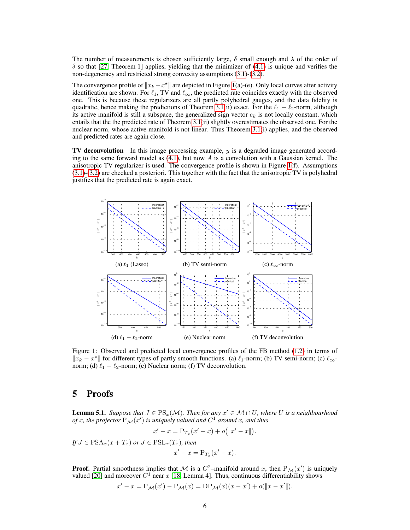The number of measurements is chosen sufficiently large,  $\delta$  small enough and  $\lambda$  of the order of  $\delta$  so that [27, Theorem 1] applies, yielding that the minimizer of (4.1) is unique and verifies the non-degeneracy and restricted strong convexity assumptions (3.1)-(3.2).

The convergence profile of  $||x_k - x^*||$  are depicted in Figure 1(a)-(e). Only local curves after activity identification are shown. For  $\ell_1$ , TV and  $\ell_{\infty}$ , the predicted rate coincides exactly with the observed one. This is because these regularizers are all partly polyhedral gauges, and the data fidelity is quadratic, hence making the predictions of Theorem 3.1(ii) exact. For the  $\ell_1 - \ell_2$ -norm, although its active manifold is still a subspace, the generalized sign vector  $e_k$  is not locally constant, which entails that the the predicted rate of Theorem 3.1(ii) slightly overestimates the observed one. For the nuclear norm, whose active manifold is not linear. Thus Theorem 3.1(i) applies, and the observed and predicted rates are again close.

TV deconvolution In this image processing example, y is a degraded image generated according to the same forward model as  $(4.1)$ , but now A is a convolution with a Gaussian kernel. The anisotropic TV regularizer is used. The convergence profile is shown in Figure 1(f). Assumptions (3.1)-(3.2) are checked a posteriori. This together with the fact that the anisotropic TV is polyhedral justifies that the predicted rate is again exact.



Figure 1: Observed and predicted local convergence profiles of the FB method (1.2) in terms of  $||x_k - x^*||$  for different types of partly smooth functions. (a)  $\ell_1$ -norm; (b) TV semi-norm; (c)  $\ell_{\infty}$ norm; (d)  $\ell_1 - \ell_2$ -norm; (e) Nuclear norm; (f) TV deconvolution.

### 5 Proofs

**Lemma 5.1.** Suppose that  $J \in \mathrm{PS}_{x}(\mathcal{M})$ . Then for any  $x' \in \mathcal{M} \cap U$ , where U is a neighbourhood of x, the projector  $P_{\mathcal{M}}(x')$  is uniquely valued and  $C^1$  around x, and thus

$$
x' - x = P_{T_x}(x' - x) + o(||x' - x||).
$$

*If*  $J \in \text{PSA}_x(x + T_x)$  *or*  $J \in \text{PSL}_x(T_x)$ *, then*  $x' - x = P_{T_x}(x' - x).$ 

 $\hat{x}$ 

**Proof.** Partial smoothness implies that M is a  $C^2$ -manifold around x, then  $P_M(x')$  is uniquely valued [20] and moreover  $C^1$  near x [18, Lemma 4]. Thus, continuous differentiability shows

$$
'-x = P_M(x') - P_M(x) = DP_M(x)(x - x') + o(||x - x'||).
$$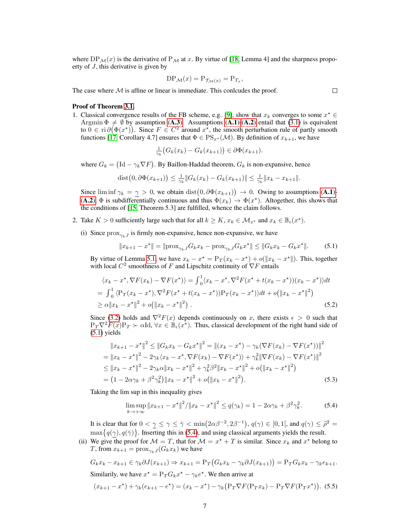where DP<sub>M</sub>(x) is the derivative of P<sub>M</sub> at x. By virtue of [18, Lemma 4] and the sharpness propoerty of J, this derivative is given by

$$
\text{DP}_{\mathcal{M}}(x) = \text{P}_{\mathcal{T}_{\mathcal{M}}(x)} = \text{P}_{T_x},
$$

The case where  $M$  is affine or linear is immediate. This conlcudes the proof.

#### Proof of Theorem 3.1.

1. Classical convergence results of the FB scheme, e.g. [9], show that  $x_k$  converges to some  $x^* \in$ Argmin  $\Phi \neq \emptyset$  by assumption (A.3). Assumptions (A.1)-(A.2) entail that (3.1) is equivalent to  $0 \in \text{ri } \partial (\Phi(x^*))$ . Since  $F \in C^2$  around  $x^*$ , the smooth perturbation rule of partly smooth functions [17, Corollary 4.7] ensures that  $\Phi \in PS_{x*}(\mathcal{M})$ . By definition of  $x_{k+1}$ , we have

$$
\frac{1}{\gamma_k} \big( G_k(x_k) - G_k(x_{k+1}) \big) \in \partial \Phi(x_{k+1}).
$$

where  $G_k = (\text{Id} - \gamma_k \nabla F)$ . By Baillon-Haddad theorem,  $G_k$  is non-expansive, hence

dist
$$
(0, \partial \Phi(x_{k+1})) \le \frac{1}{\gamma_k} ||G_k(x_k) - G_k(x_{k+1})|| \le \frac{1}{\gamma_k} ||x_k - x_{k+1}||.
$$

Since  $\liminf \gamma_k = \gamma > 0$ , we obtain  $\text{dist}(0, \partial \Phi(x_{k+1})) \to 0$ . Owing to assumptions (A.1)-(A.2),  $\Phi$  is subdifferentially continuous and thus  $\Phi(x_k) \to \Phi(x^*)$ . Altogether, this shows that the conditions of [15, Theorem 5.3] are fulfilled, whence the claim follows.

- 2. Take  $K > 0$  sufficiently large such that for all  $k \geq K$ ,  $x_k \in \mathcal{M}_{x^*}$  and  $x_k \in \mathbb{B}_{\epsilon}(x^*)$ .
	- (i) Since  $prox_{\gamma_k}$  is firmly non-expansive, hence non-expansive, we have

$$
||x_{k+1} - x^*|| = ||\text{prox}_{\gamma_k J} G_k x_k - \text{prox}_{\gamma_k J} G_k x^*|| \le ||G_k x_k - G_k x^*||. \tag{5.1}
$$

By virtue of Lemma 5.1, we have  $x_k - x^* = P_T(x_k - x^*) + o(\Vert x_k - x^* \Vert)$ . This, together with local  $C^2$  smoothness of F and Lipschitz continuity of  $\nabla F$  entails

$$
\langle x_k - x^*, \nabla F(x_k) - \nabla F(x^*) \rangle = \int_0^1 \langle x_k - x^*, \nabla^2 F(x^* + t(x_k - x^*)) (x_k - x^*) \rangle dt
$$
  
= 
$$
\int_0^1 \langle P_T(x_k - x^*), \nabla^2 F(x^* + t(x_k - x^*)) P_T(x_k - x^*) \rangle dt + o(\|x_k - x^*\|^2)
$$
  

$$
\ge \alpha \|x_k - x^*\|^2 + o(\|x_k - x^*\|^2).
$$
 (5.2)

Since (3.2) holds and  $\nabla^2 F(x)$  depends continuously on x, there exists  $\epsilon > 0$  such that  $P_T \nabla^2 F(x) P_T \succ \alpha \text{Id}, \forall x \in \mathbb{B}_{\epsilon}(x^{\star}).$  Thus, classical development of the right hand side of  $(5.1)$  yields

$$
||x_{k+1} - x^*||^2 \le ||G_k x_k - G_k x^*||^2 = ||(x_k - x^*) - \gamma_k(\nabla F(x_k) - \nabla F(x^*))||^2
$$
  
=  $||x_k - x^*||^2 - 2\gamma_k \langle x_k - x^*, \nabla F(x_k) - \nabla F(x^*) \rangle + \gamma_k^2 ||\nabla F(x_k) - \nabla F(x^*)||^2$   
 $\le ||x_k - x^*||^2 - 2\gamma_k \alpha ||x_k - x^*||^2 + \gamma_k^2 \beta^2 ||x_k - x^*||^2 + o(||x_k - x^*||^2)$   
=  $(1 - 2\alpha \gamma_k + \beta^2 \gamma_k^2) ||x_k - x^*||^2 + o(||x_k - x^*||^2).$  (5.3)

Taking the lim sup in this inequality gives

$$
\limsup_{k \to +\infty} \|x_{k+1} - x^*\|^2 / \|x_k - x^*\|^2 \le q(\gamma_k) = 1 - 2\alpha \gamma_k + \beta^2 \gamma_k^2.
$$
 (5.4)

It is clear that for  $0 < \gamma \leq \gamma \leq \bar{\gamma} < \min(2\alpha\beta^{-2}, 2\beta^{-1}), q(\gamma) \in [0, 1]$ , and  $q(\gamma) \leq \bar{\rho}^2 =$ <br>we set  $g(\alpha) g(\bar{x})$ . It is explicit in (5.4), and using also isolated accuracy with the formula  $\max\{q(\gamma), q(\bar{\gamma})\}\.$  Inserting this in (5.4), and using classical arguments yields the result.

(ii) We give the proof for  $\mathcal{M} = T$ , that for  $\mathcal{M} = x^* + T$  is similar. Since  $x_k$  and  $x^*$  belong to T, from  $x_{k+1} = \text{prox}_{\gamma_k J}(G_k x_k)$  we have

$$
G_k x_k - x_{k+1} \in \gamma_k \partial J(x_{k+1}) \Rightarrow x_{k+1} = P_T (G_k x_k - \gamma_k \partial J(x_{k+1})) = P_T G_k x_k - \gamma_k e_{k+1}.
$$

Similarily, we have  $x^* = P_T G_k x^* - \gamma_k e^*$ . We then arrive at

$$
(x_{k+1} - x^*) + \gamma_k (e_{k+1} - e^*) = (x_k - x^*) - \gamma_k (P_T \nabla F(P_T x_k) - P_T \nabla F(P_T x^*) ).
$$
 (5.5)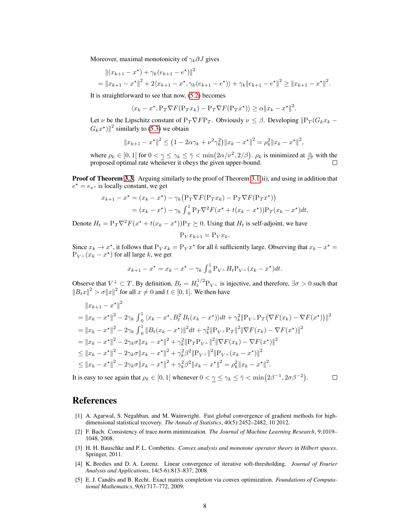Moreover, maximal monotonicity of  $\gamma_k \partial J$  gives

$$
\begin{aligned} &\left\|(x_{k+1}-x^{\star})+\gamma_{k}(e_{k+1}-e^{\star})\right\|^{2} \\ &=\|x_{k+1}-x^{\star}\|^{2}+2\langle x_{k+1}-x^{\star},\gamma_{k}(e_{k+1}-e^{\star})\rangle+\gamma_{k}\|e_{k+1}-e^{\star}\|^{2}\geq\|x_{k+1}-x^{\star}\|^{2}.\end{aligned}
$$

It is straightforward to see that now, (5.2) becomes

$$
\langle x_k - x^*, \mathbf{P}_T \nabla F(\mathbf{P}_T x_k) - \mathbf{P}_T \nabla F(\mathbf{P}_T x^*) \rangle \ge \alpha \| x_k - x^* \|^2.
$$

Let  $\nu$  be the Lipschitz constant of  $P_T \nabla F P_T$ . Obviously  $\nu \leq \beta$ . Developing  $\|P_T(G_k x_k G_k x^*$ )||<sup>2</sup> similarly to (5.3) we obtain

$$
||x_{k+1} - x^*||^2 \le (1 - 2\alpha \gamma_k + \nu^2 \gamma_k^2) ||x_k - x^*||^2 = \rho_k^2 ||x_k - x^*||^2,
$$

where  $\rho_k \in [0,1]$  for  $0 < \gamma \leq \gamma_k \leq \overline{\gamma} < \min(2\alpha/\nu^2, 2/\beta)$ .  $\rho_k$  is minimized at  $\frac{\alpha}{\nu^2}$  with the proposed optimal rate whenever it obeys the given upper-bound.

**Proof of Theorem 3.3.** Arguing similarly to the proof of Theorem 3.1(ii), and using in addition that  $e^* = e_{x^*}$  is locally constant, we get

$$
x_{k+1} - x^* = (x_k - x^*) - \gamma_k (P_T \nabla F(P_T x_k) - P_T \nabla F(P_T x^*))
$$
  
=  $(x_k - x^*) - \gamma_k \int_0^1 P_T \nabla^2 F(x^* + t(x_k - x^*)) P_T(x_k - x^*) dt$ ,

Denote  $H_t = P_T \nabla^2 F(x^* + t(x_k - x^*)) P_T \succeq 0$ . Using that  $H_t$  is self-adjoint, we have

$$
P_V x_{k+1} = P_V x_k.
$$

Since  $x_k \to x^*$ , it follows that  $P_V x_k = P_V x^*$  for all k sufficiently large. Observing that  $x_k - x^* =$  $P_{V^{\perp}}(x_k - x^*)$  for all large k, we get

$$
x_{k+1} - x^* = x_k - x^* - \gamma_k \int_0^1 P_{V^{\perp}} H_t P_{V^{\perp}} (x_k - x^*) dt.
$$

Observe that  $V^{\perp} \subset T$ . By definition,  $B_t = H_t^{1/2} P_{V^{\perp}}$  is injective, and therefore,  $\exists \sigma > 0$  such that  $||B_t x||^2 > \sigma ||x||^2$  for all  $x \neq 0$  and  $t \in [0, 1]$ . We then have

$$
||x_{k+1} - x^*||^2
$$
  
\n
$$
= ||x_k - x^*||^2 - 2\gamma_k \int_0^1 \langle x_k - x^*, B_t^T B_t (x_k - x^*) \rangle dt + \gamma_k^2 ||P_{V^\perp} P_T (\nabla F(x_k) - \nabla F(x^*))||^2
$$
  
\n
$$
= ||x_k - x^*||^2 - 2\gamma_k \int_0^1 ||B_t (x_k - x^*)||^2 dt + \gamma_k^2 ||P_{V^\perp} P_T||^2 ||\nabla F(x_k) - \nabla F(x^*)||^2
$$
  
\n
$$
= ||x_k - x^*||^2 - 2\gamma_k \sigma ||x_k - x^*||^2 + \gamma_k^2 ||P_T P_{V^\perp}||^2 ||\nabla F(x_k) - \nabla F(x^*)||^2
$$
  
\n
$$
\le ||x_k - x^*||^2 - 2\gamma_k \sigma ||x_k - x^*||^2 + \gamma_k^2 \beta^2 ||P_{V^\perp}||^2 ||P_{V^\perp} (x_k - x^*)||^2
$$
  
\n
$$
\le ||x_k - x^*||^2 - 2\gamma_k \sigma ||x_k - x^*||^2 + \gamma_k^2 \beta^2 ||x_k - x^*||^2 = \rho_k^2 ||x_k - x^*||^2.
$$

It is easy to see again that  $\rho_k \in [0,1]$  whenever  $0 < \gamma \le \gamma_k \le \bar{\gamma} < \min(2\beta^{-1}, 2\sigma\beta^{-2})$ .

#### $\Box$

### References

- [1] A. Agarwal, S. Negahban, and M. Wainwright. Fast global convergence of gradient methods for highdimensional statistical recovery. *The Annals of Statistics*, 40(5):2452–2482, 10 2012.
- [2] F. Bach. Consistency of trace norm minimization. *The Journal of Machine Learning Research*, 9:1019– 1048, 2008.
- [3] H. H. Bauschke and P. L. Combettes. *Convex analysis and monotone operator theory in Hilbert spaces*. Springer, 2011.
- [4] K. Bredies and D. A. Lorenz. Linear convergence of iterative soft-thresholding. *Journal of Fourier Analysis and Applications*, 14(5-6):813–837, 2008.
- [5] E. J. Candès and B. Recht. Exact matrix completion via convex optimization. *Foundations of Computational Mathematics*, 9(6):717–772, 2009.